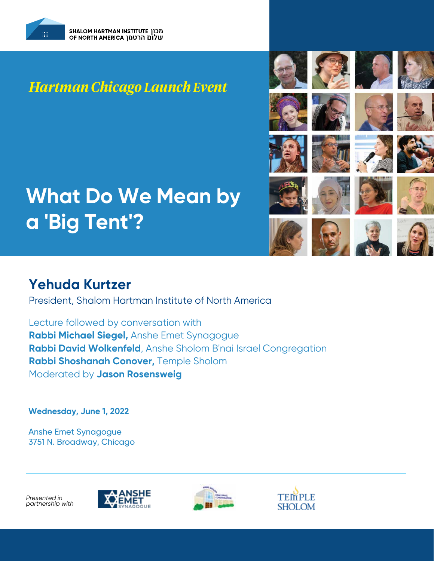

## *Hartman Chicago Launch Event*

# **What Do We Mean by a 'Big Tent'?**

## **Yehuda Kurtzer**

President, Shalom Hartman Institute of North America

Lecture followed by conversation with **Rabbi Michael Siegel,** Anshe Emet Synagogue **Rabbi David Wolkenfeld**, Anshe Sholom B'nai Israel Congregation **Rabbi Shoshanah Conover,** Temple Sholom Moderated by **Jason Rosensweig**

**Wednesday, June 1, 2022**

Anshe Emet Synagogue [3751 N. Broadway, Chicago](https://www.hartman.org.il/event/what-do-we-mean-by-a-big-tent/)

*Presented in partnership with*

































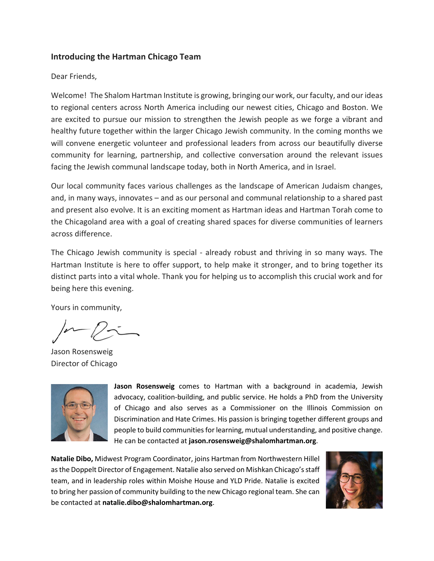## **Introducing the Hartman Chicago Team**

### Dear Friends,

Welcome! The Shalom Hartman Institute is growing, bringing our work, our faculty, and our ideas to regional centers across North America including our newest cities, Chicago and Boston. We are excited to pursue our mission to strengthen the Jewish people as we forge a vibrant and healthy future together within the larger Chicago Jewish community. In the coming months we will convene energetic volunteer and professional leaders from across our beautifully diverse community for learning, partnership, and collective conversation around the relevant issues facing the Jewish communal landscape today, both in North America, and in Israel.

Our local community faces various challenges as the landscape of American Judaism changes, and, in many ways, innovates – and as our personal and communal relationship to a shared past and present also evolve. It is an exciting moment as Hartman ideas and Hartman Torah come to the Chicagoland area with a goal of creating shared spaces for diverse communities of learners across difference.

The Chicago Jewish community is special - already robust and thriving in so many ways. The Hartman Institute is here to offer support, to help make it stronger, and to bring together its distinct parts into a vital whole. Thank you for helping us to accomplish this crucial work and for being here this evening.

Yours in community,

Jason Rosensweig Director of Chicago



**Jason Rosensweig** comes to Hartman with a background in academia, Jewish advocacy, coalition-building, and public service. He holds a PhD from the University of Chicago and also serves as a Commissioner on the Illinois Commission on Discrimination and Hate Crimes. His passion is bringing together different groups and people to build communities for learning, mutual understanding, and positive change. He can be contacted at **jason.rosensweig@shalomhartman.org**.

**Natalie Dibo,** Midwest Program Coordinator, joins Hartman from Northwestern Hillel as the Doppelt Director of Engagement. Natalie also served on Mishkan Chicago's staff team, and in leadership roles within Moishe House and YLD Pride. Natalie is excited to bring her passion of community building to the new Chicago regional team. She can be contacted at **natalie.dibo@shalomhartman.org**.

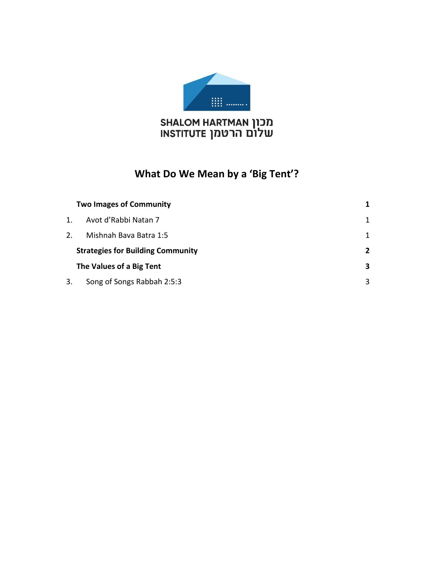

# מכון SHALOM HARTMAN<br>שלום הרטמן INSTITUTE

## **What Do We Mean by a 'Big Tent'?**

|    | <b>Two Images of Community</b>           | 1              |
|----|------------------------------------------|----------------|
| 1. | Avot d'Rabbi Natan 7                     | 1              |
| 2. | Mishnah Bava Batra 1:5                   | 1              |
|    | <b>Strategies for Building Community</b> | $\overline{2}$ |
|    | The Values of a Big Tent                 | 3              |
| 3. | Song of Songs Rabbah 2:5:3               | 3              |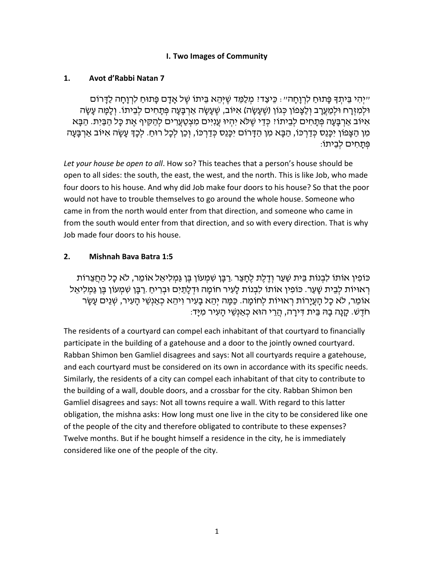## **I. Two Images of Community**

## <span id="page-3-1"></span><span id="page-3-0"></span>**1. Avot d'Rabbi Natan 7**

יִיְהִי בֵּיתִךְ פָּתוּחַ לִרְוָחָה״: כֵּיצַדּיִ מְלַמֵּד שֵׁיִּהֵא בֵּיתוֹ שֵׁל אָדָם פָּתוּחַ לִרְוָחָה לַדָּרוֹם ֿוּלְמִזְרָח וּלְמַעֲרָב וְלֵצָּפוֹן כְּגוֹן (שֵׁעָשָׂה) אִיּוֹב, שֵׁעָשָׂה אַרְבָּעָה פְּתָחִים לְבֵיתוֹ. וְלָמֶּה עָשָׂה אִיּוֹב אַרְבַּעַה פְּתַחִים לְבֵיתוֹ? כְּדֵי שֶׁלֹּא יִהְיוּ עֵנְיִּים מִצְטַעֲרִים לְהַקִּיף אֶת כָּל הַבָּיִת. הַבָּא מִן הַצָּפוֹן יִכָּנֵס כְּדַרְכּוֹ, הַבָּא מִן הַדַּרוֹם יִכְּנֵס כְּדַרְכּוֹ, וְכֵן לְכָל רוּחַ. לִכָּךְּ עַשָׂה אִיּוֹב אַרְבָּעַה ּ פְּתַחִים לְבֵיתוֹ:

*Let your house be open to all*. How so? This teaches that a person's house should be open to all sides: the south, the east, the west, and the north. This is like Job, who made four doors to his house. And why did Job make four doors to his house? So that the poor would not have to trouble themselves to go around the whole house. Someone who came in from the north would enter from that direction, and someone who came in from the south would enter from that direction, and so with every direction. That is why Job made four doors to his house.

## <span id="page-3-2"></span>**2. Mishnah Bava Batra 1:5**

ְּכּוֹפִין אוֹתוֹ לִבְנוֹת בֵּית שַׁעַר וְדֵלֵת לֵחָצֵר .רַבָּן שִׁמְעוֹן בֵּן גַּמִלִיאֵל אוֹמֵר, לֹא כָל הַחֵצֵרוֹת ּרְ אוּיוֹת לְבֵית שָׁעַר. כּוֹפִין אוֹתוֹ לִבְנוֹת לָעִיר חוֹמָה וּדְלָתַיִם וּבְרִיחַ .רַבָּן שִׁמְעוֹן בֵּן גַּמְלִיאֵל אוֹמֵר, לֹא כָל הָעֲיָרוֹת רְאוּיוֹת לְחוֹמָה. כַּמָּה יְהֵא בָעִיר וִיהֵא כְאַנְשֵׁי הָעִיר, שְׁנֵים עָשָׂר ּחֹדֶשׁ. קָנָה בַּהּ בֵּית דִּירַה, הַרֵּי הוּא כְאַנְשֶׁי הַעָיר מִיַּד:

The residents of a courtyard can compel each inhabitant of that courtyard to financially participate in the building of a gatehouse and a door to the jointly owned courtyard. Rabban Shimon ben Gamliel disagrees and says: Not all courtyards require a gatehouse, and each courtyard must be considered on its own in accordance with its specific needs. Similarly, the residents of a city can compel each inhabitant of that city to contribute to the building of a wall, double doors, and a crossbar for the city. Rabban Shimon ben Gamliel disagrees and says: Not all towns require a wall. With regard to this latter obligation, the mishna asks: How long must one live in the city to be considered like one of the people of the city and therefore obligated to contribute to these expenses? Twelve months. But if he bought himself a residence in the city, he is immediately considered like one of the people of the city.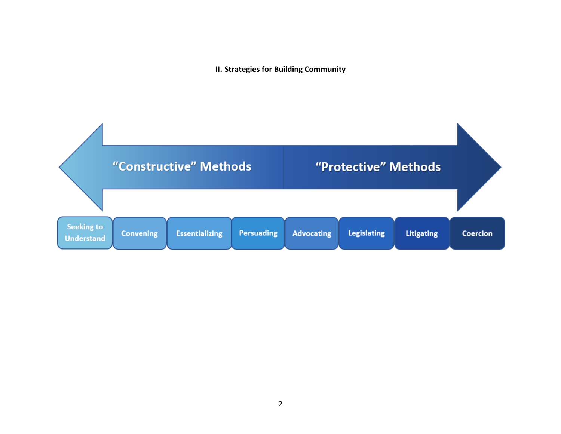**II. Strategies for Building Community**

<span id="page-4-0"></span>